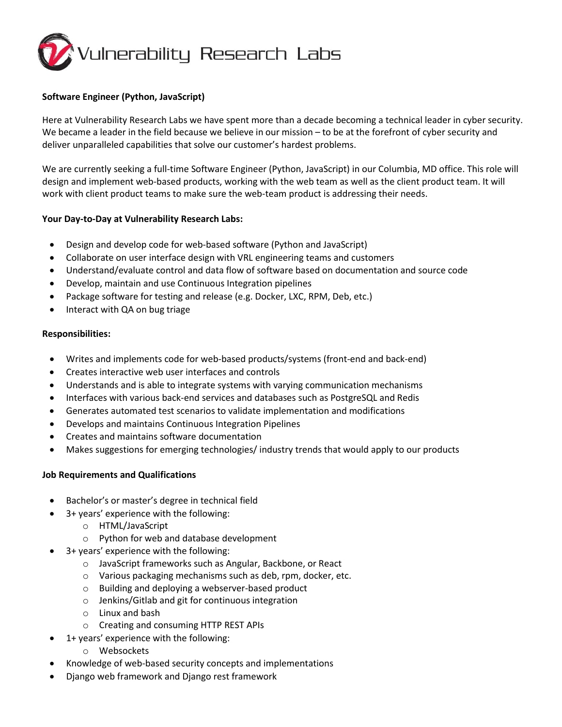

## **Software Engineer (Python, JavaScript)**

Here at Vulnerability Research Labs we have spent more than a decade becoming a technical leader in cyber security. We became a leader in the field because we believe in our mission – to be at the forefront of cyber security and deliver unparalleled capabilities that solve our customer's hardest problems.

We are currently seeking a full-time Software Engineer (Python, JavaScript) in our Columbia, MD office. This role will design and implement web-based products, working with the web team as well as the client product team. It will work with client product teams to make sure the web-team product is addressing their needs.

## **Your Day-to-Day at Vulnerability Research Labs:**

- Design and develop code for web-based software (Python and JavaScript)
- Collaborate on user interface design with VRL engineering teams and customers
- Understand/evaluate control and data flow of software based on documentation and source code
- Develop, maintain and use Continuous Integration pipelines
- Package software for testing and release (e.g. Docker, LXC, RPM, Deb, etc.)
- Interact with QA on bug triage

### **Responsibilities:**

- Writes and implements code for web-based products/systems (front-end and back-end)
- Creates interactive web user interfaces and controls
- Understands and is able to integrate systems with varying communication mechanisms
- Interfaces with various back-end services and databases such as PostgreSQL and Redis
- Generates automated test scenarios to validate implementation and modifications
- Develops and maintains Continuous Integration Pipelines
- Creates and maintains software documentation
- Makes suggestions for emerging technologies/ industry trends that would apply to our products

## **Job Requirements and Qualifications**

- Bachelor's or master's degree in technical field
	- 3+ years' experience with the following:
		- o HTML/JavaScript
		- o Python for web and database development
- 3+ years' experience with the following:
	- o JavaScript frameworks such as Angular, Backbone, or React
	- o Various packaging mechanisms such as deb, rpm, docker, etc.
	- o Building and deploying a webserver-based product
	- o Jenkins/Gitlab and git for continuous integration
	- o Linux and bash
	- o Creating and consuming HTTP REST APIs
- 1+ years' experience with the following:
	- o Websockets
- Knowledge of web-based security concepts and implementations
- Django web framework and Django rest framework